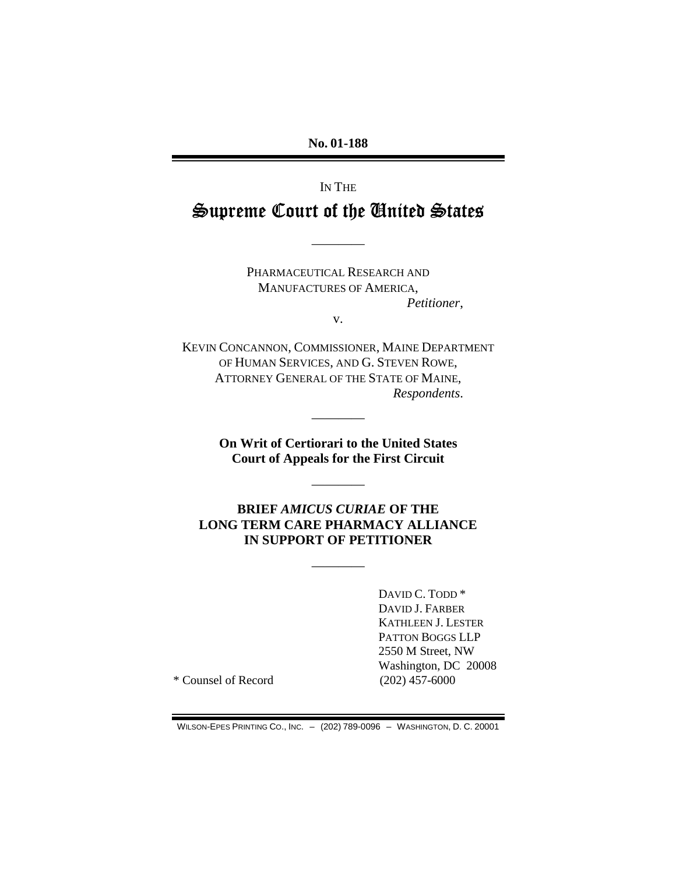**No. 01-188** 

# IN THE Supreme Court of the Gnited States

————

PHARMACEUTICAL RESEARCH AND MANUFACTURES OF AMERICA, *Petitioner*,

v.

KEVIN CONCANNON, COMMISSIONER, MAINE DEPARTMENT OF HUMAN SERVICES, AND G. STEVEN ROWE, ATTORNEY GENERAL OF THE STATE OF MAINE, *Respondents*.

> **On Writ of Certiorari to the United States Court of Appeals for the First Circuit**

> > ————

————

**BRIEF** *AMICUS CURIAE* **OF THE LONG TERM CARE PHARMACY ALLIANCE IN SUPPORT OF PETITIONER** 

————

DAVID C. TODD \* DAVID J. FARBER KATHLEEN J. LESTER PATTON BOGGS LLP 2550 M Street, NW Washington, DC 20008

\* Counsel of Record (202) 457-6000

WILSON-EPES PRINTING CO., INC. – (202) 789-0096 – WASHINGTON, D. C. 20001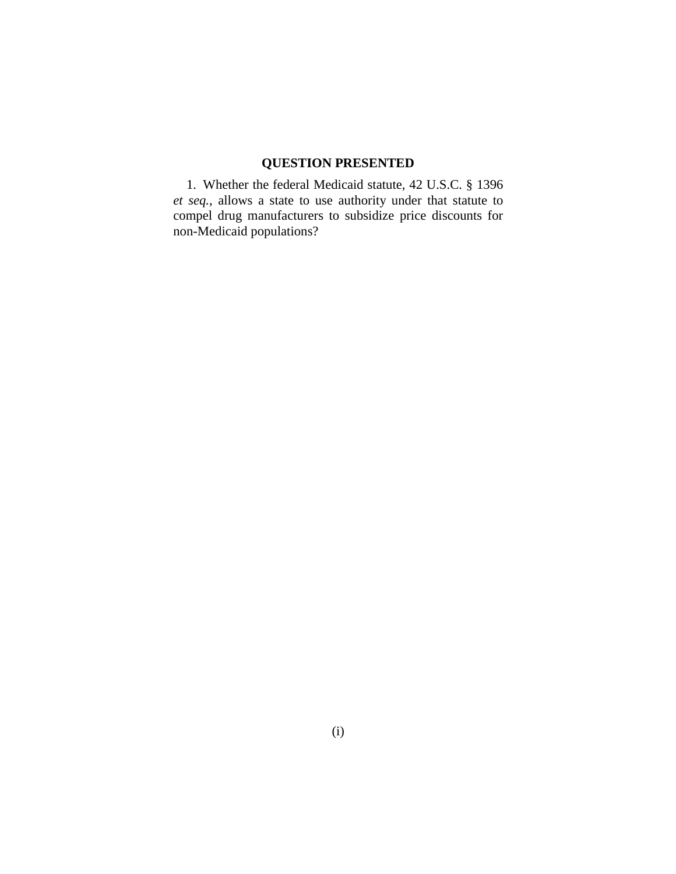# **QUESTION PRESENTED**

1. Whether the federal Medicaid statute, 42 U.S.C. § 1396 *et seq.*, allows a state to use authority under that statute to compel drug manufacturers to subsidize price discounts for non-Medicaid populations?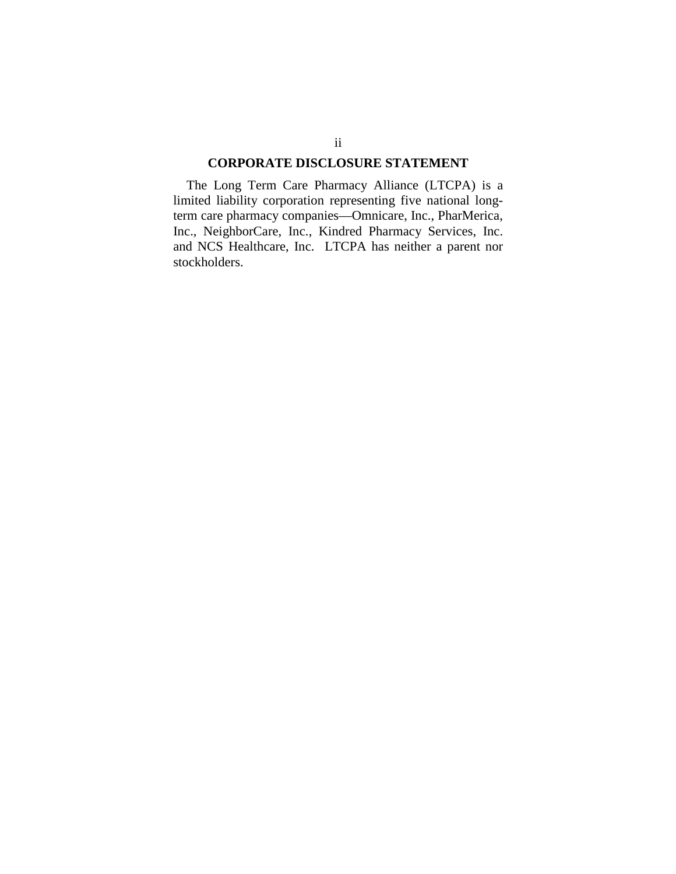#### **CORPORATE DISCLOSURE STATEMENT**

The Long Term Care Pharmacy Alliance (LTCPA) is a limited liability corporation representing five national longterm care pharmacy companies—Omnicare, Inc., PharMerica, Inc., NeighborCare, Inc., Kindred Pharmacy Services, Inc. and NCS Healthcare, Inc. LTCPA has neither a parent nor stockholders.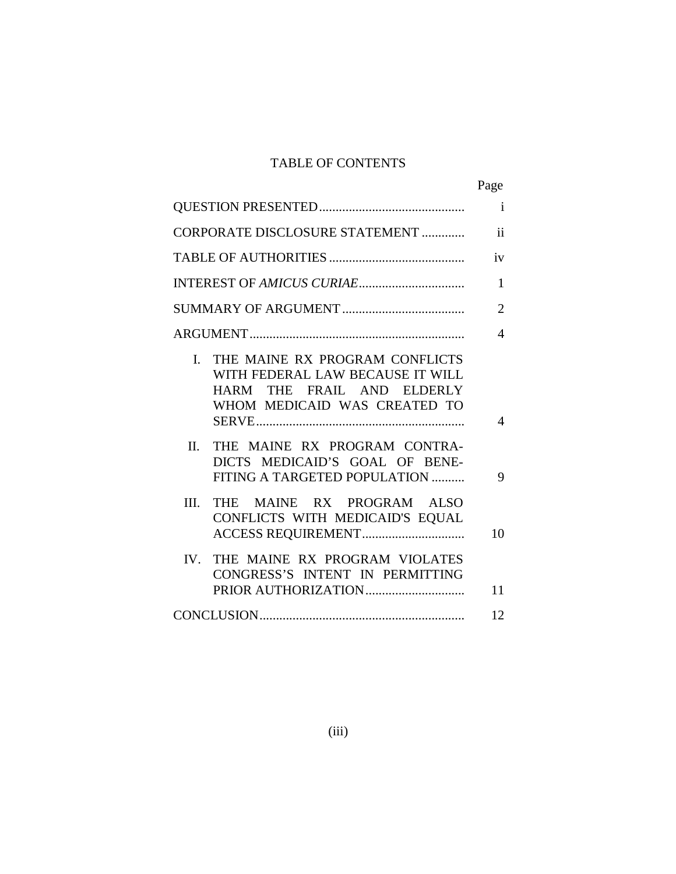# TABLE OF CONTENTS

|                                                                                                                                                  | Page           |
|--------------------------------------------------------------------------------------------------------------------------------------------------|----------------|
|                                                                                                                                                  | $\mathbf{i}$   |
| CORPORATE DISCLOSURE STATEMENT                                                                                                                   | $\mathbf{ii}$  |
|                                                                                                                                                  | iv             |
|                                                                                                                                                  | 1              |
|                                                                                                                                                  | $\overline{2}$ |
|                                                                                                                                                  | $\overline{4}$ |
| THE MAINE RX PROGRAM CONFLICTS<br>$\mathbf{L}$<br>WITH FEDERAL LAW BECAUSE IT WILL<br>HARM THE FRAIL AND ELDERLY<br>WHOM MEDICAID WAS CREATED TO | 4              |
| THE MAINE RX PROGRAM CONTRA-<br>$\Pi$ .<br>DICTS MEDICAID'S GOAL OF BENE-<br>FITING A TARGETED POPULATION                                        | 9              |
| III.<br>THE MAINE RX PROGRAM ALSO<br>CONFLICTS WITH MEDICAID'S EQUAL                                                                             | 10             |
| THE MAINE RX PROGRAM VIOLATES<br>IV.<br>CONGRESS'S INTENT IN PERMITTING                                                                          | 11             |
|                                                                                                                                                  | 12             |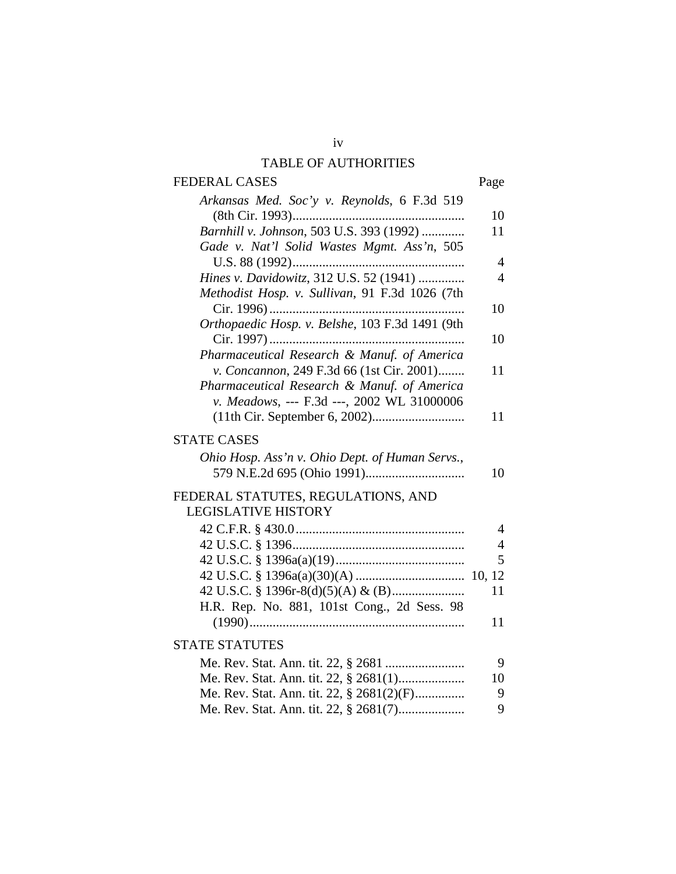# TABLE OF AUTHORITIES

| <b>FEDERAL CASES</b>                            | Page           |
|-------------------------------------------------|----------------|
| Arkansas Med. Soc'y v. Reynolds, 6 F.3d 519     |                |
|                                                 | 10             |
| Barnhill v. Johnson, 503 U.S. 393 (1992)        | 11             |
| Gade v. Nat'l Solid Wastes Mgmt. Ass'n, 505     |                |
|                                                 | 4              |
| Hines v. Davidowitz, 312 U.S. 52 (1941)         | $\overline{4}$ |
| Methodist Hosp. v. Sullivan, 91 F.3d 1026 (7th  |                |
|                                                 | 10             |
| Orthopaedic Hosp. v. Belshe, 103 F.3d 1491 (9th |                |
|                                                 | 10             |
| Pharmaceutical Research & Manuf. of America     |                |
| v. Concannon, 249 F.3d 66 (1st Cir. 2001)       | 11             |
| Pharmaceutical Research & Manuf. of America     |                |
| v. Meadows, --- F.3d ---, 2002 WL 31000006      |                |
|                                                 | 11             |
| <b>STATE CASES</b>                              |                |
| Ohio Hosp. Ass'n v. Ohio Dept. of Human Servs., |                |
|                                                 | 10             |
|                                                 |                |
| FEDERAL STATUTES, REGULATIONS, AND              |                |
| <b>LEGISLATIVE HISTORY</b>                      |                |
|                                                 | $\overline{4}$ |
|                                                 | $\overline{4}$ |
|                                                 | 5              |
|                                                 |                |
|                                                 | 11             |
| H.R. Rep. No. 881, 101st Cong., 2d Sess. 98     |                |
|                                                 | 11             |
| <b>STATE STATUTES</b>                           |                |
|                                                 | 9              |
|                                                 | 10             |
| Me. Rev. Stat. Ann. tit. 22, § 2681(2)(F)       | 9              |
| Me. Rev. Stat. Ann. tit. 22, § 2681(7)          | 9              |
|                                                 |                |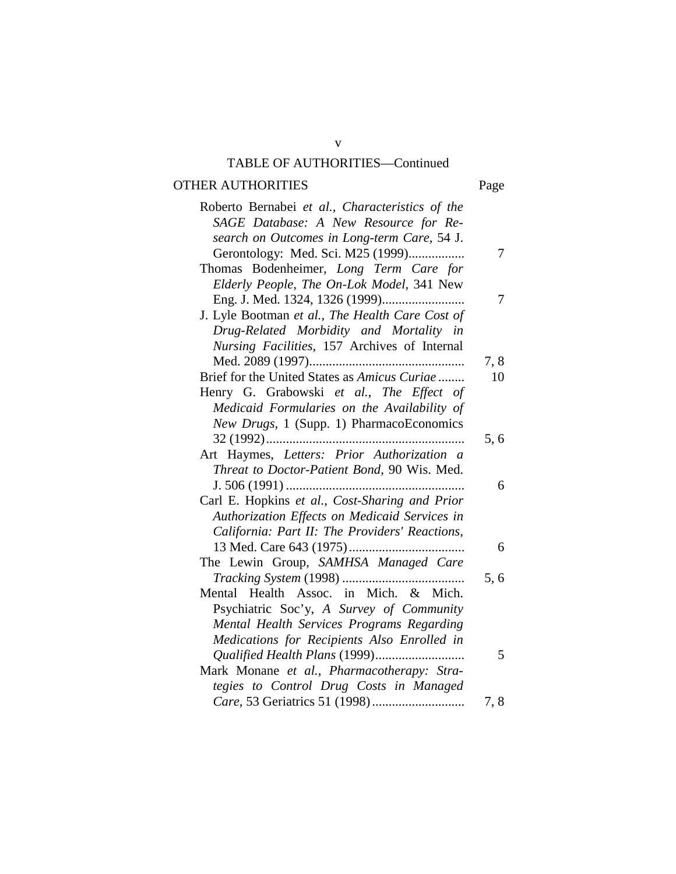# TABLE OF AUTHORITIES—Continued

# OTHER AUTHORITIES Page

| Roberto Bernabei et al., Characteristics of the<br>SAGE Database: A New Resource for Re- |      |
|------------------------------------------------------------------------------------------|------|
| search on Outcomes in Long-term Care, 54 J.                                              |      |
| Gerontology: Med. Sci. M25 (1999)                                                        | 7    |
| Thomas Bodenheimer, Long Term Care for                                                   |      |
| Elderly People, The On-Lok Model, 341 New                                                |      |
|                                                                                          |      |
| J. Lyle Bootman et al., The Health Care Cost of                                          |      |
| Drug-Related Morbidity and Mortality in                                                  |      |
| Nursing Facilities, 157 Archives of Internal                                             |      |
|                                                                                          | 7,8  |
| Brief for the United States as Amicus Curiae                                             | 10   |
| Henry G. Grabowski et al., The Effect of                                                 |      |
| Medicaid Formularies on the Availability of                                              |      |
| New Drugs, 1 (Supp. 1) PharmacoEconomics                                                 |      |
|                                                                                          | 5,6  |
| Art Haymes, Letters: Prior Authorization a                                               |      |
| Threat to Doctor-Patient Bond, 90 Wis. Med.                                              | 6    |
| Carl E. Hopkins et al., Cost-Sharing and Prior                                           |      |
| Authorization Effects on Medicaid Services in                                            |      |
| California: Part II: The Providers' Reactions,                                           |      |
|                                                                                          | 6    |
| The Lewin Group, SAMHSA Managed Care                                                     |      |
|                                                                                          | 5,6  |
| Mental Health Assoc. in Mich. & Mich.                                                    |      |
| Psychiatric Soc'y, A Survey of Community                                                 |      |
| Mental Health Services Programs Regarding                                                |      |
| Medications for Recipients Also Enrolled in                                              |      |
|                                                                                          | 5    |
| Mark Monane et al., Pharmacotherapy: Stra-                                               |      |
| tegies to Control Drug Costs in Managed                                                  |      |
|                                                                                          | 7, 8 |

v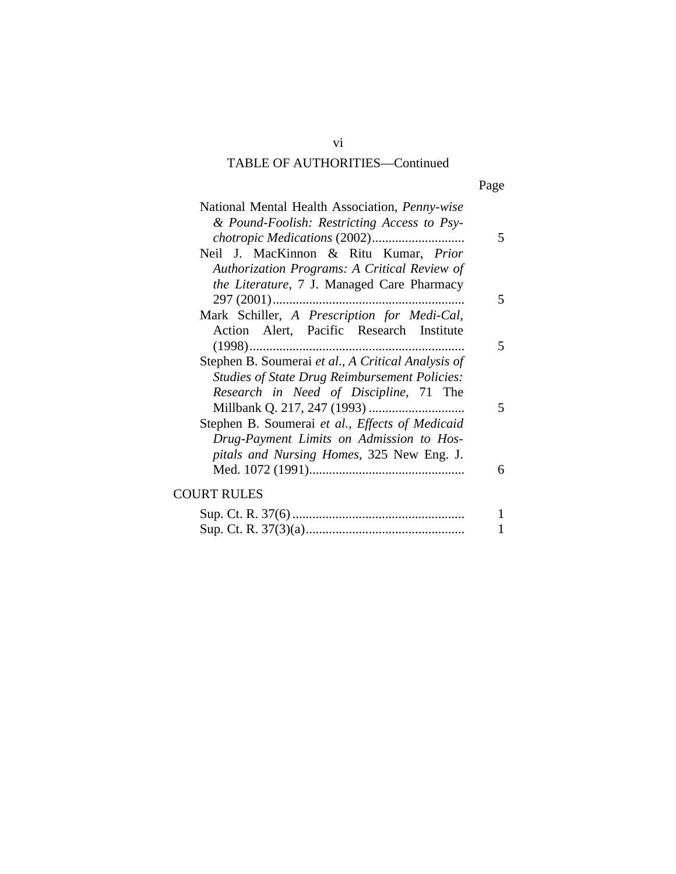# TABLE OF AUTHORITIES—Continued

|  | Page |
|--|------|
|  |      |

| National Mental Health Association, Penny-wise<br>& Pound-Foolish: Restricting Access to Psy-                                                        | 5      |
|------------------------------------------------------------------------------------------------------------------------------------------------------|--------|
| Neil J. MacKinnon & Ritu Kumar, <i>Prior</i><br>Authorization Programs: A Critical Review of<br>the Literature, 7 J. Managed Care Pharmacy           |        |
|                                                                                                                                                      | 5      |
| Mark Schiller, A Prescription for Medi-Cal,<br>Action Alert, Pacific Research Institute                                                              | 5      |
| Stephen B. Soumerai et al., A Critical Analysis of<br><b>Studies of State Drug Reimbursement Policies:</b><br>Research in Need of Discipline, 71 The |        |
| Stephen B. Soumerai et al., Effects of Medicaid<br>Drug-Payment Limits on Admission to Hos-<br>pitals and Nursing Homes, 325 New Eng. J.             | 5<br>6 |
| <b>COURT RULES</b>                                                                                                                                   |        |
| $C_{\text{max}}$ $C_1$ D $27/6$                                                                                                                      | 1.     |

vi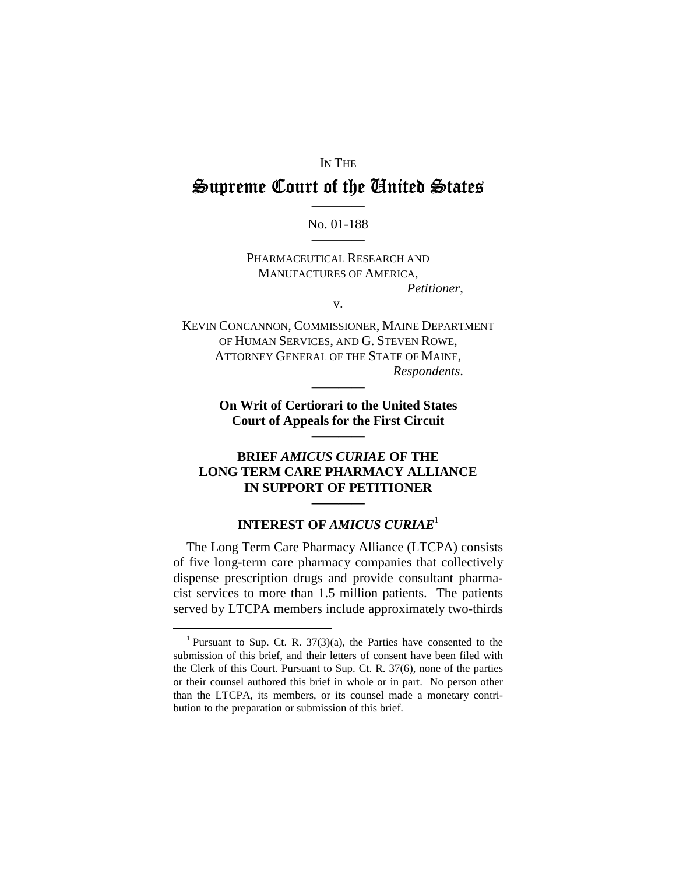#### IN THE

# Supreme Court of the Gnited States

# ———— No. 01-188 ————

PHARMACEUTICAL RESEARCH AND MANUFACTURES OF AMERICA, *Petitioner*,

v.

KEVIN CONCANNON, COMMISSIONER, MAINE DEPARTMENT OF HUMAN SERVICES, AND G. STEVEN ROWE, ATTORNEY GENERAL OF THE STATE OF MAINE, *Respondents*.

> **On Writ of Certiorari to the United States Court of Appeals for the First Circuit**

> > ————

————

#### **BRIEF** *AMICUS CURIAE* **OF THE LONG TERM CARE PHARMACY ALLIANCE IN SUPPORT OF PETITIONER**

## **INTEREST OF** *AMICUS CURIAE*<sup>1</sup>

**————** 

The Long Term Care Pharmacy Alliance (LTCPA) consists of five long-term care pharmacy companies that collectively dispense prescription drugs and provide consultant pharmacist services to more than 1.5 million patients. The patients served by LTCPA members include approximately two-thirds

<sup>&</sup>lt;sup>1</sup> Pursuant to Sup. Ct. R.  $37(3)(a)$ , the Parties have consented to the submission of this brief, and their letters of consent have been filed with the Clerk of this Court. Pursuant to Sup. Ct. R. 37(6), none of the parties or their counsel authored this brief in whole or in part. No person other than the LTCPA, its members, or its counsel made a monetary contribution to the preparation or submission of this brief.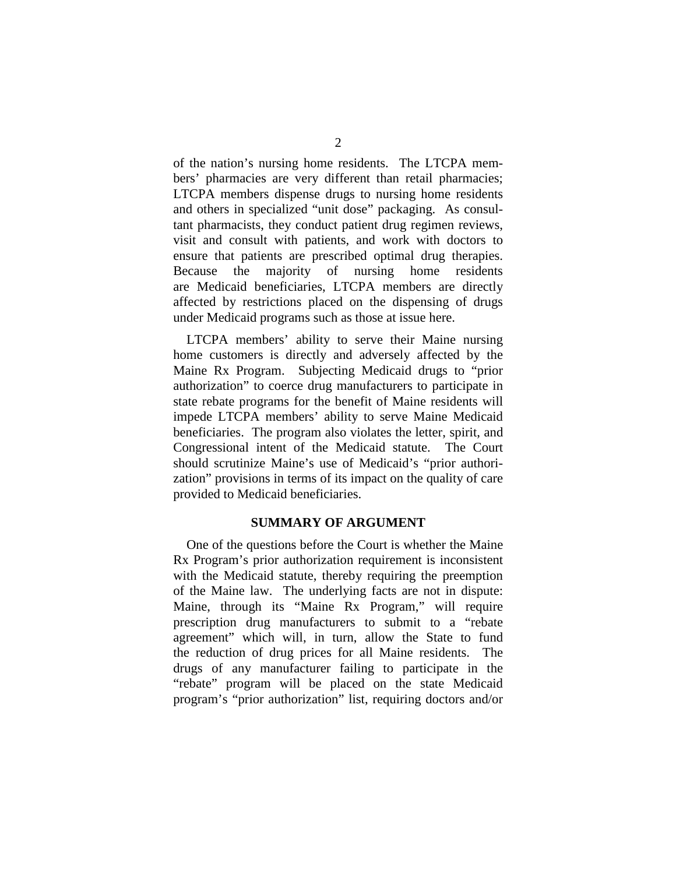of the nation's nursing home residents. The LTCPA members' pharmacies are very different than retail pharmacies; LTCPA members dispense drugs to nursing home residents and others in specialized "unit dose" packaging. As consultant pharmacists, they conduct patient drug regimen reviews, visit and consult with patients, and work with doctors to ensure that patients are prescribed optimal drug therapies. Because the majority of nursing home residents are Medicaid beneficiaries, LTCPA members are directly affected by restrictions placed on the dispensing of drugs under Medicaid programs such as those at issue here.

LTCPA members' ability to serve their Maine nursing home customers is directly and adversely affected by the Maine Rx Program. Subjecting Medicaid drugs to "prior authorization" to coerce drug manufacturers to participate in state rebate programs for the benefit of Maine residents will impede LTCPA members' ability to serve Maine Medicaid beneficiaries. The program also violates the letter, spirit, and Congressional intent of the Medicaid statute. The Court should scrutinize Maine's use of Medicaid's "prior authorization" provisions in terms of its impact on the quality of care provided to Medicaid beneficiaries.

## **SUMMARY OF ARGUMENT**

One of the questions before the Court is whether the Maine Rx Program's prior authorization requirement is inconsistent with the Medicaid statute, thereby requiring the preemption of the Maine law. The underlying facts are not in dispute: Maine, through its "Maine Rx Program," will require prescription drug manufacturers to submit to a "rebate agreement" which will, in turn, allow the State to fund the reduction of drug prices for all Maine residents. The drugs of any manufacturer failing to participate in the "rebate" program will be placed on the state Medicaid program's "prior authorization" list, requiring doctors and/or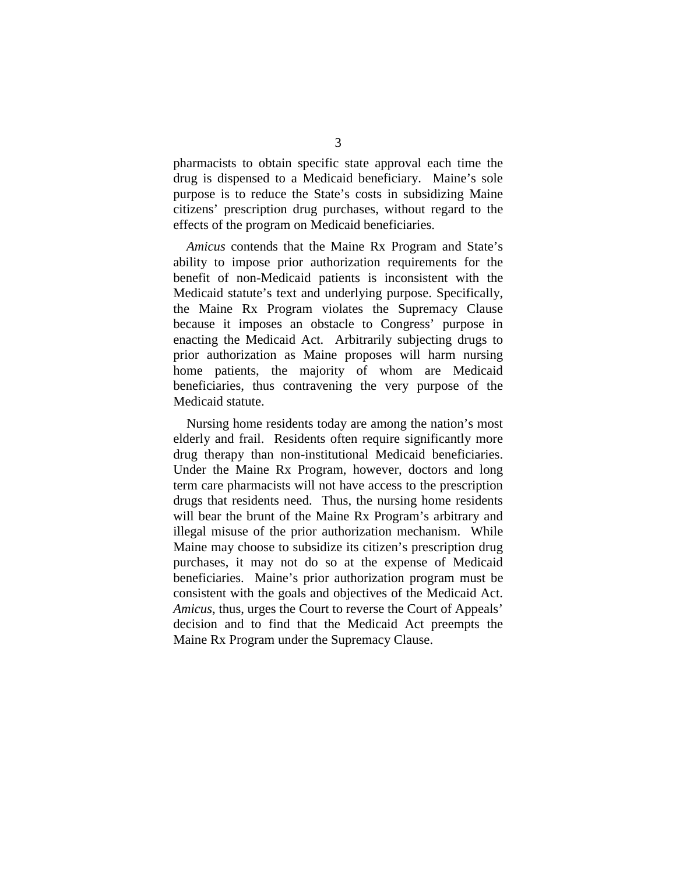pharmacists to obtain specific state approval each time the drug is dispensed to a Medicaid beneficiary. Maine's sole purpose is to reduce the State's costs in subsidizing Maine citizens' prescription drug purchases, without regard to the effects of the program on Medicaid beneficiaries.

*Amicus* contends that the Maine Rx Program and State's ability to impose prior authorization requirements for the benefit of non-Medicaid patients is inconsistent with the Medicaid statute's text and underlying purpose. Specifically, the Maine Rx Program violates the Supremacy Clause because it imposes an obstacle to Congress' purpose in enacting the Medicaid Act. Arbitrarily subjecting drugs to prior authorization as Maine proposes will harm nursing home patients, the majority of whom are Medicaid beneficiaries, thus contravening the very purpose of the Medicaid statute.

Nursing home residents today are among the nation's most elderly and frail. Residents often require significantly more drug therapy than non-institutional Medicaid beneficiaries. Under the Maine Rx Program, however, doctors and long term care pharmacists will not have access to the prescription drugs that residents need. Thus, the nursing home residents will bear the brunt of the Maine Rx Program's arbitrary and illegal misuse of the prior authorization mechanism. While Maine may choose to subsidize its citizen's prescription drug purchases, it may not do so at the expense of Medicaid beneficiaries. Maine's prior authorization program must be consistent with the goals and objectives of the Medicaid Act. *Amicus*, thus, urges the Court to reverse the Court of Appeals' decision and to find that the Medicaid Act preempts the Maine Rx Program under the Supremacy Clause.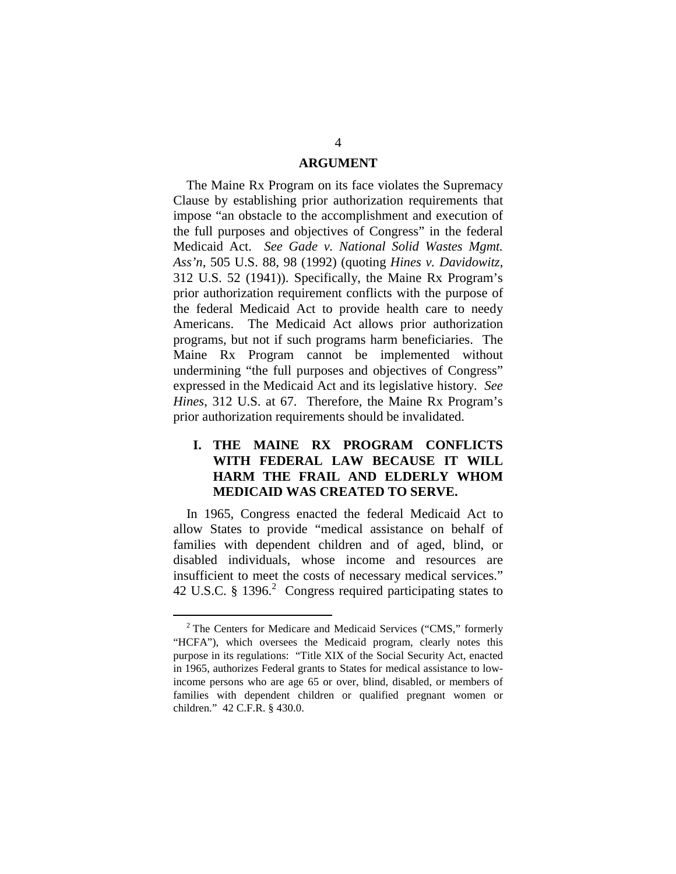#### **ARGUMENT**

The Maine Rx Program on its face violates the Supremacy Clause by establishing prior authorization requirements that impose "an obstacle to the accomplishment and execution of the full purposes and objectives of Congress" in the federal Medicaid Act. *See Gade v. National Solid Wastes Mgmt. Ass'n*, 505 U.S. 88, 98 (1992) (quoting *Hines v. Davidowitz*, 312 U.S. 52 (1941)). Specifically, the Maine Rx Program's prior authorization requirement conflicts with the purpose of the federal Medicaid Act to provide health care to needy Americans. The Medicaid Act allows prior authorization programs, but not if such programs harm beneficiaries. The Maine Rx Program cannot be implemented without undermining "the full purposes and objectives of Congress" expressed in the Medicaid Act and its legislative history. *See Hines*, 312 U.S. at 67. Therefore, the Maine Rx Program's prior authorization requirements should be invalidated.

## **I. THE MAINE RX PROGRAM CONFLICTS WITH FEDERAL LAW BECAUSE IT WILL HARM THE FRAIL AND ELDERLY WHOM MEDICAID WAS CREATED TO SERVE.**

In 1965, Congress enacted the federal Medicaid Act to allow States to provide "medical assistance on behalf of families with dependent children and of aged, blind, or disabled individuals, whose income and resources are insufficient to meet the costs of necessary medical services." 42 U.S.C.  $§$  1396.<sup>2</sup> Congress required participating states to

 $2$ <sup>2</sup> The Centers for Medicare and Medicaid Services ("CMS," formerly "HCFA"), which oversees the Medicaid program, clearly notes this purpose in its regulations: "Title XIX of the Social Security Act, enacted in 1965, authorizes Federal grants to States for medical assistance to lowincome persons who are age 65 or over, blind, disabled, or members of families with dependent children or qualified pregnant women or children." 42 C.F.R. § 430.0.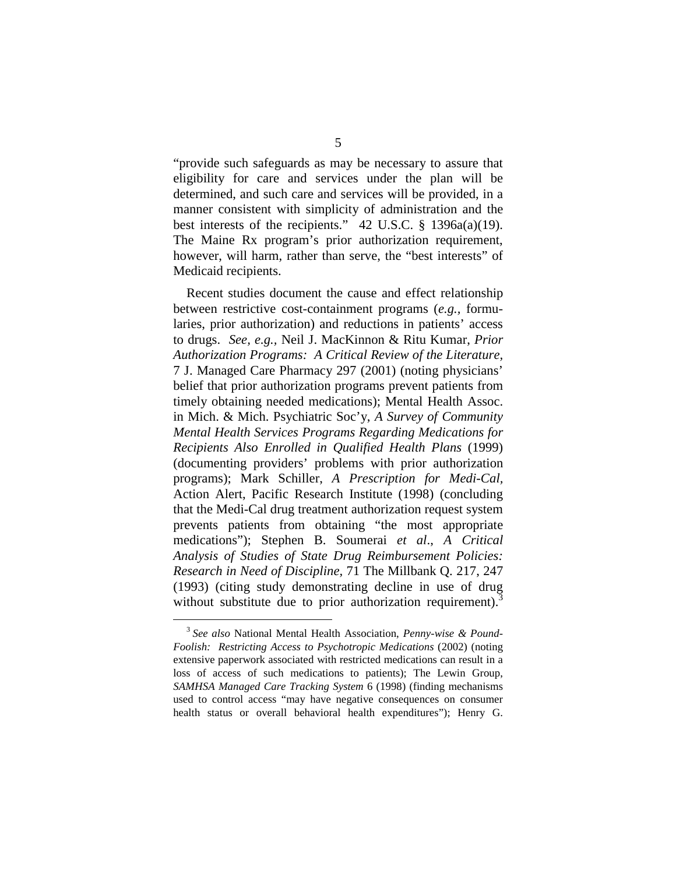"provide such safeguards as may be necessary to assure that eligibility for care and services under the plan will be determined, and such care and services will be provided, in a manner consistent with simplicity of administration and the best interests of the recipients." 42 U.S.C.  $\S$  1396a(a)(19). The Maine Rx program's prior authorization requirement, however, will harm, rather than serve, the "best interests" of Medicaid recipients.

Recent studies document the cause and effect relationship between restrictive cost-containment programs (*e.g.,* formularies, prior authorization) and reductions in patients' access to drugs. *See, e.g.,* Neil J. MacKinnon & Ritu Kumar, *Prior Authorization Programs: A Critical Review of the Literature,*  7 J. Managed Care Pharmacy 297 (2001) (noting physicians' belief that prior authorization programs prevent patients from timely obtaining needed medications); Mental Health Assoc. in Mich. & Mich. Psychiatric Soc'y, *A Survey of Community Mental Health Services Programs Regarding Medications for Recipients Also Enrolled in Qualified Health Plans* (1999) (documenting providers' problems with prior authorization programs); Mark Schiller, *A Prescription for Medi-Cal,*  Action Alert, Pacific Research Institute (1998) (concluding that the Medi-Cal drug treatment authorization request system prevents patients from obtaining "the most appropriate medications"); Stephen B. Soumerai *et al*., *A Critical Analysis of Studies of State Drug Reimbursement Policies: Research in Need of Discipline,* 71 The Millbank Q. 217, 247 (1993) (citing study demonstrating decline in use of drug without substitute due to prior authorization requirement).<sup>3</sup>

<sup>3</sup>  *See also* National Mental Health Association, *Penny-wise & Pound-Foolish: Restricting Access to Psychotropic Medications* (2002) (noting extensive paperwork associated with restricted medications can result in a loss of access of such medications to patients); The Lewin Group, *SAMHSA Managed Care Tracking System* 6 (1998) (finding mechanisms used to control access "may have negative consequences on consumer health status or overall behavioral health expenditures"); Henry G.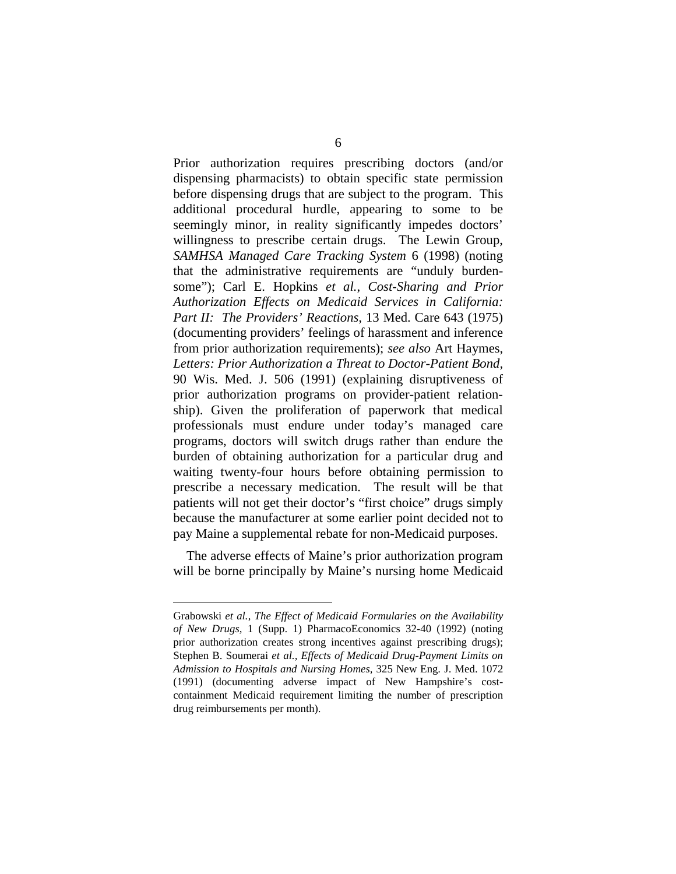Prior authorization requires prescribing doctors (and/or dispensing pharmacists) to obtain specific state permission before dispensing drugs that are subject to the program. This additional procedural hurdle, appearing to some to be seemingly minor, in reality significantly impedes doctors' willingness to prescribe certain drugs. The Lewin Group, *SAMHSA Managed Care Tracking System* 6 (1998) (noting that the administrative requirements are "unduly burdensome"); Carl E. Hopkins *et al.*, *Cost-Sharing and Prior Authorization Effects on Medicaid Services in California: Part II: The Providers' Reactions,* 13 Med. Care 643 (1975) (documenting providers' feelings of harassment and inference from prior authorization requirements); *see also* Art Haymes, *Letters: Prior Authorization a Threat to Doctor-Patient Bond,*  90 Wis. Med. J. 506 (1991) (explaining disruptiveness of prior authorization programs on provider-patient relationship). Given the proliferation of paperwork that medical professionals must endure under today's managed care programs, doctors will switch drugs rather than endure the burden of obtaining authorization for a particular drug and waiting twenty-four hours before obtaining permission to prescribe a necessary medication. The result will be that patients will not get their doctor's "first choice" drugs simply because the manufacturer at some earlier point decided not to pay Maine a supplemental rebate for non-Medicaid purposes.

The adverse effects of Maine's prior authorization program will be borne principally by Maine's nursing home Medicaid

Grabowski *et al.*, *The Effect of Medicaid Formularies on the Availability of New Drugs,* 1 (Supp. 1) PharmacoEconomics 32-40 (1992) (noting prior authorization creates strong incentives against prescribing drugs); Stephen B. Soumerai *et al., Effects of Medicaid Drug-Payment Limits on Admission to Hospitals and Nursing Homes,* 325 New Eng. J. Med. 1072 (1991) (documenting adverse impact of New Hampshire's costcontainment Medicaid requirement limiting the number of prescription drug reimbursements per month).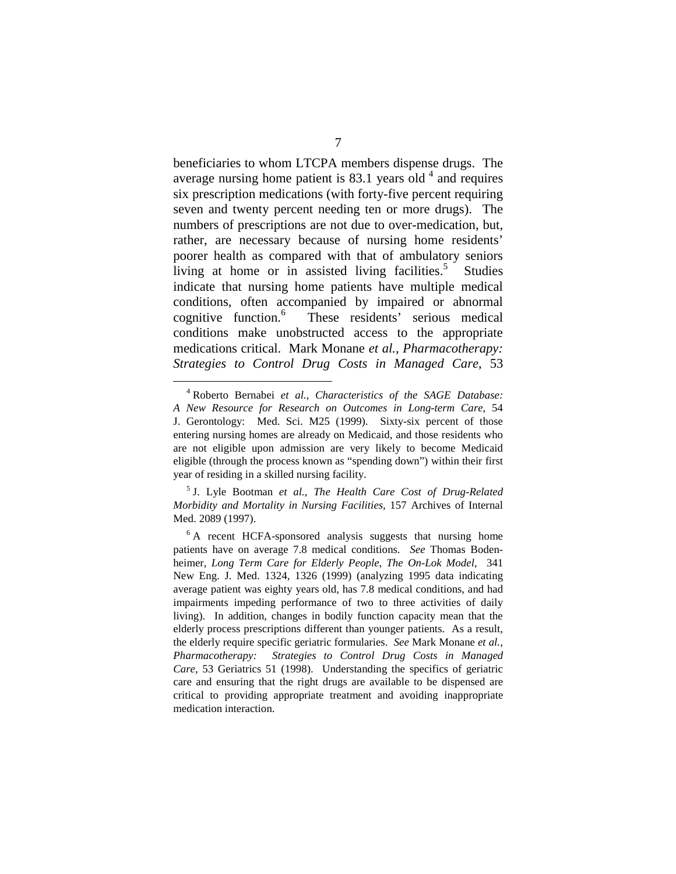beneficiaries to whom LTCPA members dispense drugs. The average nursing home patient is  $83.1$  years old<sup>4</sup> and requires six prescription medications (with forty-five percent requiring seven and twenty percent needing ten or more drugs). The numbers of prescriptions are not due to over-medication, but, rather, are necessary because of nursing home residents' poorer health as compared with that of ambulatory seniors living at home or in assisted living facilities.<sup>5</sup> Studies indicate that nursing home patients have multiple medical conditions, often accompanied by impaired or abnormal cognitive function.<sup>6</sup> These residents' serious medical conditions make unobstructed access to the appropriate medications critical. Mark Monane *et al.*, *Pharmacotherapy: Strategies to Control Drug Costs in Managed Care,* 53

5 J. Lyle Bootman *et al.*, *The Health Care Cost of Drug-Related Morbidity and Mortality in Nursing Facilities,* 157 Archives of Internal Med. 2089 (1997).

<sup>4</sup> Roberto Bernabei *et al., Characteristics of the SAGE Database: A New Resource for Research on Outcomes in Long-term Care*, 54 J. Gerontology: Med. Sci. M25 (1999). Sixty-six percent of those entering nursing homes are already on Medicaid, and those residents who are not eligible upon admission are very likely to become Medicaid eligible (through the process known as "spending down") within their first year of residing in a skilled nursing facility.

<sup>&</sup>lt;sup>6</sup> A recent HCFA-sponsored analysis suggests that nursing home patients have on average 7.8 medical conditions. *See* Thomas Bodenheimer, *Long Term Care for Elderly People, The On-Lok Model,* 341 New Eng. J. Med. 1324, 1326 (1999) (analyzing 1995 data indicating average patient was eighty years old, has 7.8 medical conditions, and had impairments impeding performance of two to three activities of daily living). In addition, changes in bodily function capacity mean that the elderly process prescriptions different than younger patients. As a result, the elderly require specific geriatric formularies. *See* Mark Monane *et al.*, *Pharmacotherapy: Strategies to Control Drug Costs in Managed Care,* 53 Geriatrics 51 (1998). Understanding the specifics of geriatric care and ensuring that the right drugs are available to be dispensed are critical to providing appropriate treatment and avoiding inappropriate medication interaction.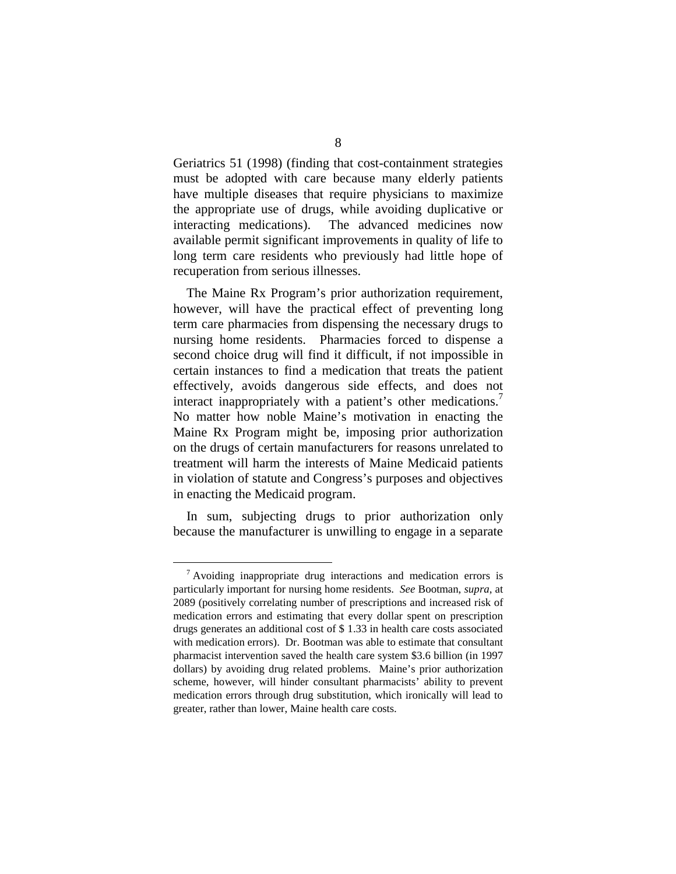Geriatrics 51 (1998) (finding that cost-containment strategies must be adopted with care because many elderly patients have multiple diseases that require physicians to maximize the appropriate use of drugs, while avoiding duplicative or interacting medications). The advanced medicines now available permit significant improvements in quality of life to long term care residents who previously had little hope of recuperation from serious illnesses.

The Maine Rx Program's prior authorization requirement, however, will have the practical effect of preventing long term care pharmacies from dispensing the necessary drugs to nursing home residents. Pharmacies forced to dispense a second choice drug will find it difficult, if not impossible in certain instances to find a medication that treats the patient effectively, avoids dangerous side effects, and does not interact inappropriately with a patient's other medications.<sup>7</sup> No matter how noble Maine's motivation in enacting the Maine Rx Program might be, imposing prior authorization on the drugs of certain manufacturers for reasons unrelated to treatment will harm the interests of Maine Medicaid patients in violation of statute and Congress's purposes and objectives in enacting the Medicaid program.

In sum, subjecting drugs to prior authorization only because the manufacturer is unwilling to engage in a separate

 $7$  Avoiding inappropriate drug interactions and medication errors is particularly important for nursing home residents. *See* Bootman, *supra*, at 2089 (positively correlating number of prescriptions and increased risk of medication errors and estimating that every dollar spent on prescription drugs generates an additional cost of \$ 1.33 in health care costs associated with medication errors). Dr. Bootman was able to estimate that consultant pharmacist intervention saved the health care system \$3.6 billion (in 1997 dollars) by avoiding drug related problems. Maine's prior authorization scheme, however, will hinder consultant pharmacists' ability to prevent medication errors through drug substitution, which ironically will lead to greater, rather than lower, Maine health care costs.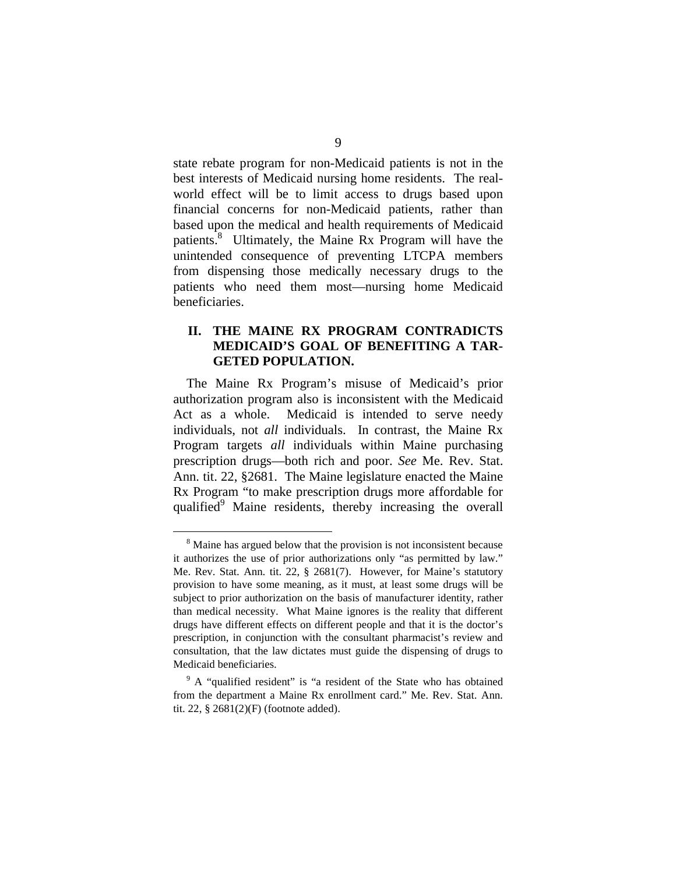state rebate program for non-Medicaid patients is not in the best interests of Medicaid nursing home residents. The realworld effect will be to limit access to drugs based upon financial concerns for non-Medicaid patients, rather than based upon the medical and health requirements of Medicaid patients.<sup>8</sup> Ultimately, the Maine Rx Program will have the unintended consequence of preventing LTCPA members from dispensing those medically necessary drugs to the patients who need them most—nursing home Medicaid beneficiaries.

#### **II. THE MAINE RX PROGRAM CONTRADICTS MEDICAID'S GOAL OF BENEFITING A TAR-GETED POPULATION.**

The Maine Rx Program's misuse of Medicaid's prior authorization program also is inconsistent with the Medicaid Act as a whole. Medicaid is intended to serve needy individuals, not *all* individuals. In contrast, the Maine Rx Program targets *all* individuals within Maine purchasing prescription drugs—both rich and poor. *See* Me. Rev. Stat. Ann. tit. 22, §2681. The Maine legislature enacted the Maine Rx Program "to make prescription drugs more affordable for qualified<sup>9</sup> Maine residents, thereby increasing the overall

<sup>&</sup>lt;sup>8</sup> Maine has argued below that the provision is not inconsistent because it authorizes the use of prior authorizations only "as permitted by law." Me. Rev. Stat. Ann. tit. 22, § 2681(7). However, for Maine's statutory provision to have some meaning, as it must, at least some drugs will be subject to prior authorization on the basis of manufacturer identity, rather than medical necessity. What Maine ignores is the reality that different drugs have different effects on different people and that it is the doctor's prescription, in conjunction with the consultant pharmacist's review and consultation, that the law dictates must guide the dispensing of drugs to Medicaid beneficiaries.

<sup>&</sup>lt;sup>9</sup> A "qualified resident" is "a resident of the State who has obtained from the department a Maine Rx enrollment card." Me. Rev. Stat. Ann. tit. 22, § 2681(2)(F) (footnote added).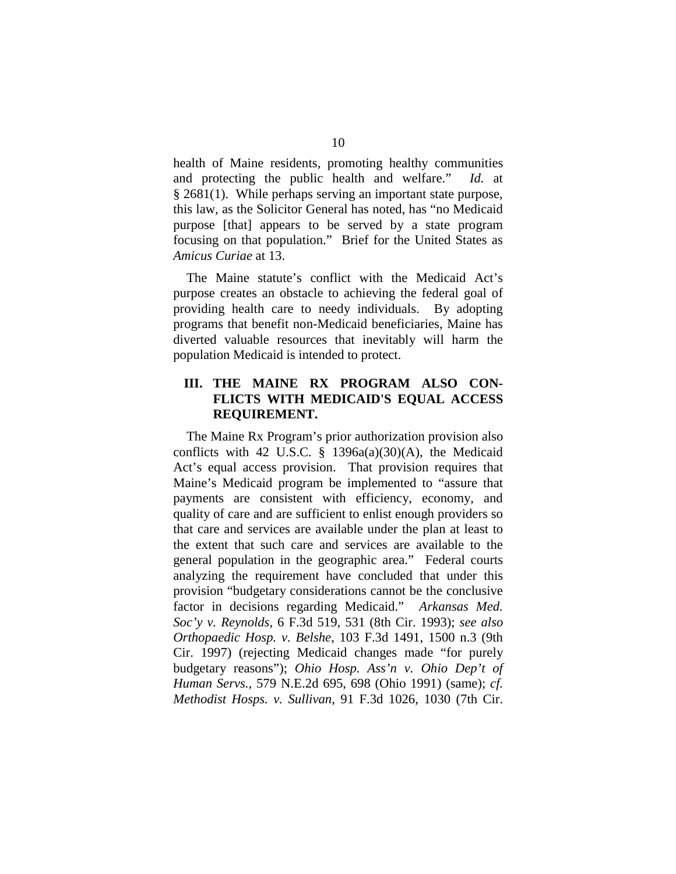health of Maine residents, promoting healthy communities and protecting the public health and welfare." *Id.* at § 2681(1). While perhaps serving an important state purpose, this law, as the Solicitor General has noted, has "no Medicaid purpose [that] appears to be served by a state program focusing on that population." Brief for the United States as *Amicus Curiae* at 13.

The Maine statute's conflict with the Medicaid Act's purpose creates an obstacle to achieving the federal goal of providing health care to needy individuals. By adopting programs that benefit non-Medicaid beneficiaries, Maine has diverted valuable resources that inevitably will harm the population Medicaid is intended to protect.

#### **III. THE MAINE RX PROGRAM ALSO CON-FLICTS WITH MEDICAID'S EQUAL ACCESS REQUIREMENT.**

The Maine Rx Program's prior authorization provision also conflicts with 42 U.S.C.  $\S$  1396a(a)(30)(A), the Medicaid Act's equal access provision. That provision requires that Maine's Medicaid program be implemented to "assure that payments are consistent with efficiency, economy, and quality of care and are sufficient to enlist enough providers so that care and services are available under the plan at least to the extent that such care and services are available to the general population in the geographic area." Federal courts analyzing the requirement have concluded that under this provision "budgetary considerations cannot be the conclusive factor in decisions regarding Medicaid." *Arkansas Med. Soc'y v. Reynolds*, 6 F.3d 519, 531 (8th Cir. 1993); *see also Orthopaedic Hosp. v. Belshe*, 103 F.3d 1491, 1500 n.3 (9th Cir. 1997) (rejecting Medicaid changes made "for purely budgetary reasons"); *Ohio Hosp. Ass'n v. Ohio Dep't of Human Servs.*, 579 N.E.2d 695, 698 (Ohio 1991) (same); *cf. Methodist Hosps. v. Sullivan*, 91 F.3d 1026, 1030 (7th Cir.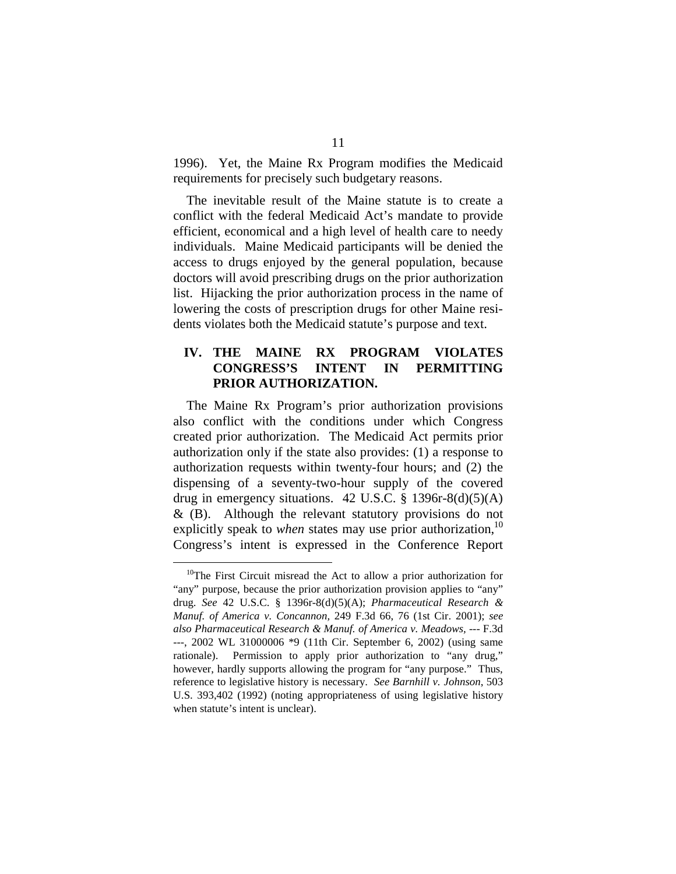1996). Yet, the Maine Rx Program modifies the Medicaid requirements for precisely such budgetary reasons.

The inevitable result of the Maine statute is to create a conflict with the federal Medicaid Act's mandate to provide efficient, economical and a high level of health care to needy individuals. Maine Medicaid participants will be denied the access to drugs enjoyed by the general population, because doctors will avoid prescribing drugs on the prior authorization list. Hijacking the prior authorization process in the name of lowering the costs of prescription drugs for other Maine residents violates both the Medicaid statute's purpose and text.

## **IV. THE MAINE RX PROGRAM VIOLATES CONGRESS'S INTENT IN PERMITTING PRIOR AUTHORIZATION.**

The Maine Rx Program's prior authorization provisions also conflict with the conditions under which Congress created prior authorization. The Medicaid Act permits prior authorization only if the state also provides: (1) a response to authorization requests within twenty-four hours; and (2) the dispensing of a seventy-two-hour supply of the covered drug in emergency situations.  $42 \text{ U.S.C.}$  §  $1396 \text{r} \text{-} 8 \text{ (d)}(5)$ (A)  $\&$  (B). Although the relevant statutory provisions do not explicitly speak to *when* states may use prior authorization,  $10$ Congress's intent is expressed in the Conference Report

<sup>&</sup>lt;sup>10</sup>The First Circuit misread the Act to allow a prior authorization for "any" purpose, because the prior authorization provision applies to "any" drug. *See* 42 U.S.C. § 1396r-8(d)(5)(A); *Pharmaceutical Research & Manuf. of America v. Concannon,* 249 F.3d 66, 76 (1st Cir. 2001); *see also Pharmaceutical Research & Manuf. of America v. Meadows,* --- F.3d ---, 2002 WL 31000006 \*9 (11th Cir. September 6, 2002) (using same rationale). Permission to apply prior authorization to "any drug," however, hardly supports allowing the program for "any purpose." Thus, reference to legislative history is necessary. *See Barnhill v. Johnson*, 503 U.S. 393,402 (1992) (noting appropriateness of using legislative history when statute's intent is unclear).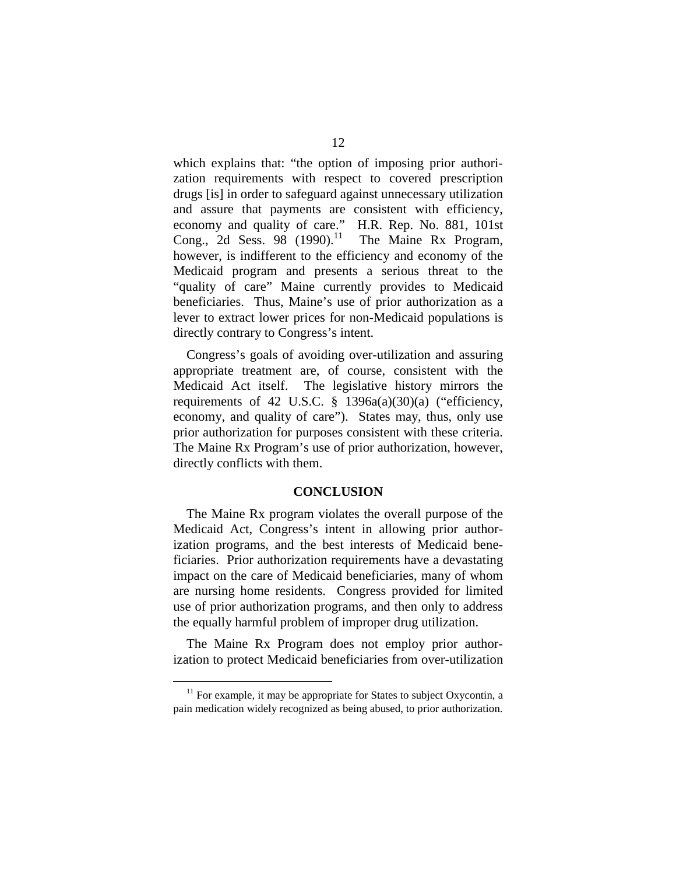which explains that: "the option of imposing prior authorization requirements with respect to covered prescription drugs [is] in order to safeguard against unnecessary utilization and assure that payments are consistent with efficiency, economy and quality of care." H.R. Rep. No. 881, 101st Cong., 2d Sess. 98 (1990).<sup>11</sup> The Maine Rx Program, however, is indifferent to the efficiency and economy of the Medicaid program and presents a serious threat to the "quality of care" Maine currently provides to Medicaid beneficiaries. Thus, Maine's use of prior authorization as a lever to extract lower prices for non-Medicaid populations is directly contrary to Congress's intent.

Congress's goals of avoiding over-utilization and assuring appropriate treatment are, of course, consistent with the Medicaid Act itself. The legislative history mirrors the requirements of 42 U.S.C.  $\S$  1396a(a)(30)(a) ("efficiency, economy, and quality of care"). States may, thus, only use prior authorization for purposes consistent with these criteria. The Maine Rx Program's use of prior authorization, however, directly conflicts with them.

#### **CONCLUSION**

The Maine Rx program violates the overall purpose of the Medicaid Act, Congress's intent in allowing prior authorization programs, and the best interests of Medicaid beneficiaries. Prior authorization requirements have a devastating impact on the care of Medicaid beneficiaries, many of whom are nursing home residents. Congress provided for limited use of prior authorization programs, and then only to address the equally harmful problem of improper drug utilization.

The Maine Rx Program does not employ prior authorization to protect Medicaid beneficiaries from over-utilization

 $11$  For example, it may be appropriate for States to subject Oxycontin, a pain medication widely recognized as being abused, to prior authorization.